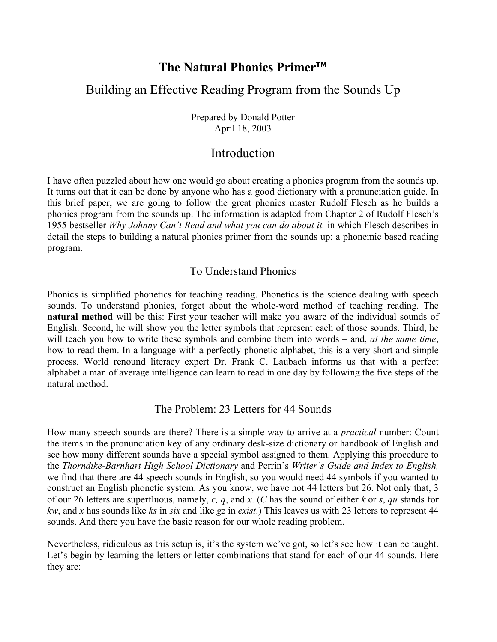# **The Natural Phonics Primer™**

## Building an Effective Reading Program from the Sounds Up

Prepared by Donald Potter April 18, 2003

# Introduction

I have often puzzled about how one would go about creating a phonics program from the sounds up. It turns out that it can be done by anyone who has a good dictionary with a pronunciation guide. In this brief paper, we are going to follow the great phonics master Rudolf Flesch as he builds a phonics program from the sounds up. The information is adapted from Chapter 2 of Rudolf Flesch's 1955 bestseller *Why Johnny Can't Read and what you can do about it,* in which Flesch describes in detail the steps to building a natural phonics primer from the sounds up: a phonemic based reading program.

### To Understand Phonics

Phonics is simplified phonetics for teaching reading. Phonetics is the science dealing with speech sounds. To understand phonics, forget about the whole-word method of teaching reading. The **natural method** will be this: First your teacher will make you aware of the individual sounds of English. Second, he will show you the letter symbols that represent each of those sounds. Third, he will teach you how to write these symbols and combine them into words – and, *at the same time*, how to read them. In a language with a perfectly phonetic alphabet, this is a very short and simple process. World renound literacy expert Dr. Frank C. Laubach informs us that with a perfect alphabet a man of average intelligence can learn to read in one day by following the five steps of the natural method.

### The Problem: 23 Letters for 44 Sounds

How many speech sounds are there? There is a simple way to arrive at a *practical* number: Count the items in the pronunciation key of any ordinary desk-size dictionary or handbook of English and see how many different sounds have a special symbol assigned to them. Applying this procedure to the *Thorndike-Barnhart High School Dictionary* and Perrin's *Writer's Guide and Index to English,*  we find that there are 44 speech sounds in English, so you would need 44 symbols if you wanted to construct an English phonetic system. As you know, we have not 44 letters but 26. Not only that, 3 of our 26 letters are superfluous, namely, *c, q*, and *x*. (*C* has the sound of either *k* or *s*, *qu* stands for *kw*, and *x* has sounds like *ks* in *six* and like *gz* in *exist*.) This leaves us with 23 letters to represent 44 sounds. And there you have the basic reason for our whole reading problem.

Nevertheless, ridiculous as this setup is, it's the system we've got, so let's see how it can be taught. Let's begin by learning the letters or letter combinations that stand for each of our 44 sounds. Here they are: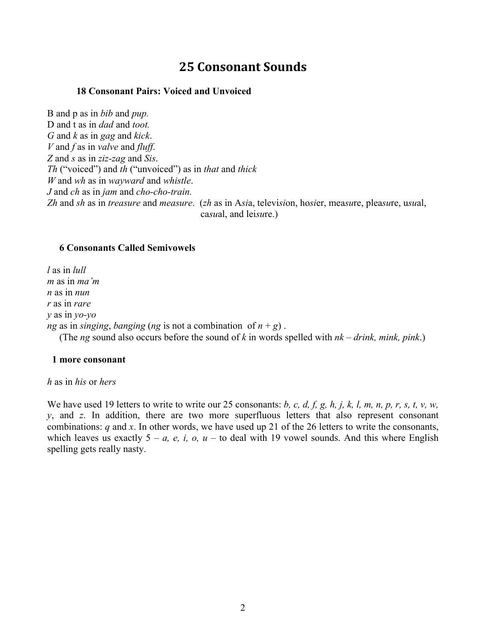# **25 Consonant Sounds**

### **18 Consonant Pairs: Voiced and Unvoiced**

B and p as in *bib* and *pup.* D and t as in *dad* and *toot. G* and *k* as in *gag* and *kick*. *V* and *f* as in *valve* and *fluff*. *Z* and *s* as in *ziz-zag* and *Sis*. *Th* ("voiced") and *th* ("unvoiced") as in *that* and *thick W* and *wh* as in *wayward* and *whistle*. *J* and *ch* as in *jam* and *cho-cho-train. Zh* and *sh* as in *treasure* and *measure*. (*zh* as in A*si*a, televi*si*on, ho*si*er, mea*su*re, plea*su*re, u*su*al, ca*su*al, and lei*su*re.)

### **6 Consonants Called Semivowels**

*l* as in *lull m* as in *ma'm n* as in *nun r* as in *rare y* as in *yo-yo ng* as in *singing*, *banging* (*ng* is not a combination of  $n + g$ ). (The *ng* sound also occurs before the sound of *k* in words spelled with *nk* – *drink, mink, pink*.)

#### **1 more consonant**

#### *h* as in *his* or *hers*

We have used 19 letters to write to write our 25 consonants: *b, c, d, f, g, h, j, k, l, m, n, p, r, s, t, v, w, y*, and *z*. In addition, there are two more superfluous letters that also represent consonant combinations: *q* and *x*. In other words, we have used up 21 of the 26 letters to write the consonants, which leaves us exactly  $5 - a$ , *e*, *i*, *o*, *u* – to deal with 19 vowel sounds. And this where English spelling gets really nasty.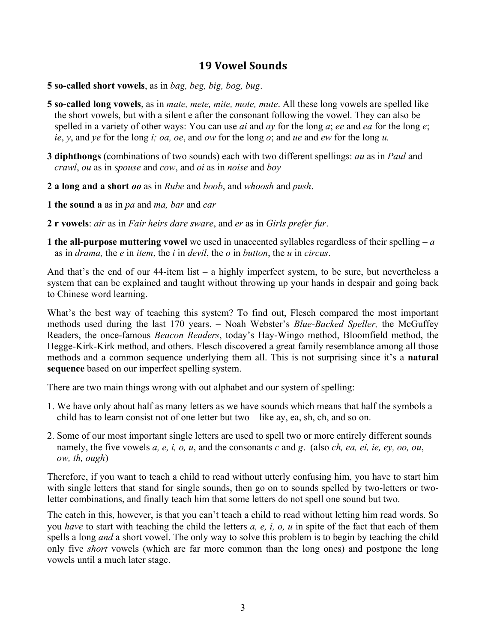## **19 Vowel Sounds**

**5 so-called short vowels**, as in *bag, beg, big, bog, bug*.

- **5 so-called long vowels**, as in *mate, mete, mite, mote, mute*. All these long vowels are spelled like the short vowels, but with a silent e after the consonant following the vowel. They can also be spelled in a variety of other ways: You can use *ai* and *ay* for the long *a*; *ee* and *ea* for the long *e*; *ie*, *y*, and *ye* for the long *i; oa, oe*, and *ow* for the long *o*; and *ue* and *ew* for the long *u.*
- **3 diphthongs** (combinations of two sounds) each with two different spellings: *au* as in *Paul* and *crawl*, *ou* as in s*pouse* and *cow*, and *oi* as in *noise* and *boy*
- **2 a long and a short** *oo* as in *Rube* and *boob*, and *whoosh* and *push*.
- **1 the sound a** as in *pa* and *ma, bar* and *car*
- **2 r vowels**: *air* as in *Fair heirs dare sware*, and *er* as in *Girls prefer fur*.
- **1 the all-purpose muttering vowel** we used in unaccented syllables regardless of their spelling *a* as in *drama,* the *e* in *item*, the *i* in *devil*, the *o* in *button*, the *u* in *circus*.

And that's the end of our 44-item list – a highly imperfect system, to be sure, but nevertheless a system that can be explained and taught without throwing up your hands in despair and going back to Chinese word learning.

What's the best way of teaching this system? To find out, Flesch compared the most important methods used during the last 170 years. – Noah Webster's *Blue-Backed Speller,* the McGuffey Readers, the once-famous *Beacon Readers*, today's Hay-Wingo method, Bloomfield method, the Hegge-Kirk-Kirk method, and others. Flesch discovered a great family resemblance among all those methods and a common sequence underlying them all. This is not surprising since it's a **natural sequence** based on our imperfect spelling system.

There are two main things wrong with out alphabet and our system of spelling:

- 1. We have only about half as many letters as we have sounds which means that half the symbols a child has to learn consist not of one letter but two – like ay, ea, sh, ch, and so on.
- 2. Some of our most important single letters are used to spell two or more entirely different sounds namely, the five vowels *a, e, i, o, u*, and the consonants *c* and *g*. (also *ch, ea, ei, ie, ey, oo, ou*, *ow, th, ough*)

Therefore, if you want to teach a child to read without utterly confusing him, you have to start him with single letters that stand for single sounds, then go on to sounds spelled by two-letters or twoletter combinations, and finally teach him that some letters do not spell one sound but two.

The catch in this, however, is that you can't teach a child to read without letting him read words. So you *have* to start with teaching the child the letters *a, e, i, o, u* in spite of the fact that each of them spells a long *and* a short vowel. The only way to solve this problem is to begin by teaching the child only five *short* vowels (which are far more common than the long ones) and postpone the long vowels until a much later stage.